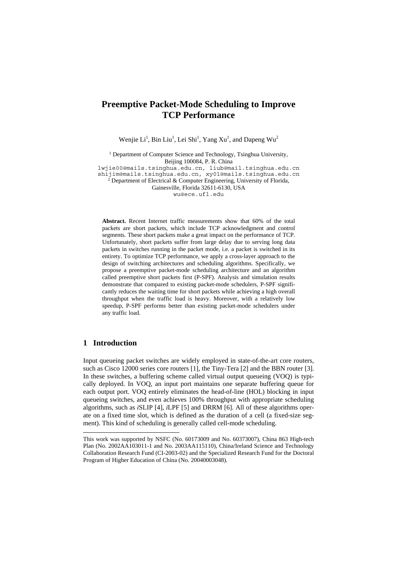# **Preemptive Packet-Mode Scheduling to Improve TCP Performance**

Wenjie Li<sup>1</sup>, Bin Liu<sup>1</sup>, Lei Shi<sup>1</sup>, Yang Xu<sup>1</sup>, and Dapeng Wu<sup>2</sup>

<sup>1</sup> Department of Computer Science and Technology, Tsinghua University, Beijing 100084, P. R. China

lwjie00@mails.tsinghua.edu.cn, liub@mail.tsinghua.edu.cn shijim@mails.tsinghua.edu.cn, xy01@mails.tsinghua.edu.cn

<sup>2</sup> Department of Electrical & Computer Engineering, University of Florida,

Gainesville, Florida 32611-6130, USA

wu@ece.ufl.edu

**Abstract.** Recent Internet traffic measurements show that 60% of the total packets are short packets, which include TCP acknowledgment and control segments. These short packets make a great impact on the performance of TCP. Unfortunately, short packets suffer from large delay due to serving long data packets in switches running in the packet mode, i.e. a packet is switched in its entirety. To optimize TCP performance, we apply a cross-layer approach to the design of switching architectures and scheduling algorithms. Specifically, we propose a preemptive packet-mode scheduling architecture and an algorithm called preemptive short packets first (P-SPF). Analysis and simulation results demonstrate that compared to existing packet-mode schedulers, P-SPF significantly reduces the waiting time for short packets while achieving a high overall throughput when the traffic load is heavy. Moreover, with a relatively low speedup, P-SPF performs better than existing packet-mode schedulers under any traffic load.

## **1 Introduction**

l

Input queueing packet switches are widely employed in state-of-the-art core routers, such as Cisco 12000 series core routers [1], the Tiny-Tera [2] and the BBN router [3]. In these switches, a buffering scheme called virtual output queueing (VOQ) is typically deployed. In VOQ, an input port maintains one separate buffering queue for each output port. VOQ entirely eliminates the head-of-line (HOL) blocking in input queueing switches, and even achieves 100% throughput with appropriate scheduling algorithms, such as *i*SLIP [4], *i*LPF [5] and DRRM [6]. All of these algorithms operate on a fixed time slot, which is defined as the duration of a cell (a fixed-size segment). This kind of scheduling is generally called cell-mode scheduling.

This work was supported by NSFC (No. 60173009 and No. 60373007), China 863 High-tech Plan (No. 2002AA103011-1 and No. 2003AA115110), China/Ireland Science and Technology Collaboration Research Fund (CI-2003-02) and the Specialized Research Fund for the Doctoral Program of Higher Education of China (No. 20040003048).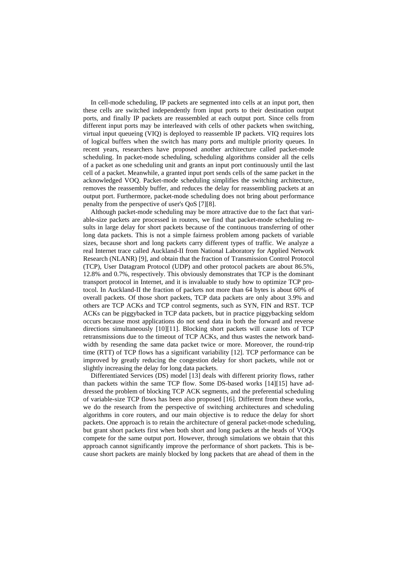In cell-mode scheduling, IP packets are segmented into cells at an input port, then these cells are switched independently from input ports to their destination output ports, and finally IP packets are reassembled at each output port. Since cells from different input ports may be interleaved with cells of other packets when switching, virtual input queueing (VIQ) is deployed to reassemble IP packets. VIQ requires lots of logical buffers when the switch has many ports and multiple priority queues. In recent years, researchers have proposed another architecture called packet-mode scheduling. In packet-mode scheduling, scheduling algorithms consider all the cells of a packet as one scheduling unit and grants an input port continuously until the last cell of a packet. Meanwhile, a granted input port sends cells of the same packet in the acknowledged VOQ. Packet-mode scheduling simplifies the switching architecture, removes the reassembly buffer, and reduces the delay for reassembling packets at an output port. Furthermore, packet-mode scheduling does not bring about performance penalty from the perspective of user's QoS [7][8].

Although packet-mode scheduling may be more attractive due to the fact that variable-size packets are processed in routers, we find that packet-mode scheduling results in large delay for short packets because of the continuous transferring of other long data packets. This is not a simple fairness problem among packets of variable sizes, because short and long packets carry different types of traffic. We analyze a real Internet trace called Auckland-II from National Laboratory for Applied Network Research (NLANR) [9], and obtain that the fraction of Transmission Control Protocol (TCP), User Datagram Protocol (UDP) and other protocol packets are about 86.5%, 12.8% and 0.7%, respectively. This obviously demonstrates that TCP is the dominant transport protocol in Internet, and it is invaluable to study how to optimize TCP protocol. In Auckland-II the fraction of packets not more than 64 bytes is about 60% of overall packets. Of those short packets, TCP data packets are only about 3.9% and others are TCP ACKs and TCP control segments, such as SYN, FIN and RST. TCP ACKs can be piggybacked in TCP data packets, but in practice piggybacking seldom occurs because most applications do not send data in both the forward and reverse directions simultaneously [10][11]. Blocking short packets will cause lots of TCP retransmissions due to the timeout of TCP ACKs, and thus wastes the network bandwidth by resending the same data packet twice or more. Moreover, the round-trip time (RTT) of TCP flows has a significant variability [12]. TCP performance can be improved by greatly reducing the congestion delay for short packets, while not or slightly increasing the delay for long data packets.

Differentiated Services (DS) model [13] deals with different priority flows, rather than packets within the same TCP flow. Some DS-based works [14][15] have addressed the problem of blocking TCP ACK segments, and the preferential scheduling of variable-size TCP flows has been also proposed [16]. Different from these works, we do the research from the perspective of switching architectures and scheduling algorithms in core routers, and our main objective is to reduce the delay for short packets. One approach is to retain the architecture of general packet-mode scheduling, but grant short packets first when both short and long packets at the heads of VOQs compete for the same output port. However, through simulations we obtain that this approach cannot significantly improve the performance of short packets. This is because short packets are mainly blocked by long packets that are ahead of them in the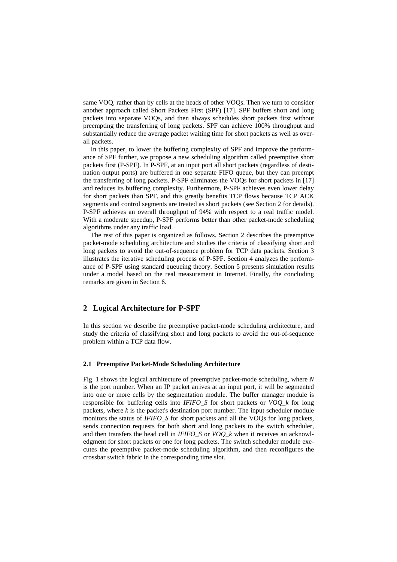same VOQ, rather than by cells at the heads of other VOQs. Then we turn to consider another approach called Short Packets First (SPF) [17]. SPF buffers short and long packets into separate VOQs, and then always schedules short packets first without preempting the transferring of long packets. SPF can achieve 100% throughput and substantially reduce the average packet waiting time for short packets as well as overall packets.

In this paper, to lower the buffering complexity of SPF and improve the performance of SPF further, we propose a new scheduling algorithm called preemptive short packets first (P-SPF). In P-SPF, at an input port all short packets (regardless of destination output ports) are buffered in one separate FIFO queue, but they can preempt the transferring of long packets. P-SPF eliminates the VOQs for short packets in [17] and reduces its buffering complexity. Furthermore, P-SPF achieves even lower delay for short packets than SPF, and this greatly benefits TCP flows because TCP ACK segments and control segments are treated as short packets (see Section 2 for details). P-SPF achieves an overall throughput of 94% with respect to a real traffic model. With a moderate speedup, P-SPF performs better than other packet-mode scheduling algorithms under any traffic load.

The rest of this paper is organized as follows. Section 2 describes the preemptive packet-mode scheduling architecture and studies the criteria of classifying short and long packets to avoid the out-of-sequence problem for TCP data packets. Section 3 illustrates the iterative scheduling process of P-SPF. Section 4 analyzes the performance of P-SPF using standard queueing theory. Section 5 presents simulation results under a model based on the real measurement in Internet. Finally, the concluding remarks are given in Section 6.

# **2 Logical Architecture for P-SPF**

In this section we describe the preemptive packet-mode scheduling architecture, and study the criteria of classifying short and long packets to avoid the out-of-sequence problem within a TCP data flow.

## **2.1 Preemptive Packet-Mode Scheduling Architecture**

Fig. 1 shows the logical architecture of preemptive packet-mode scheduling, where *N* is the port number. When an IP packet arrives at an input port, it will be segmented into one or more cells by the segmentation module. The buffer manager module is responsible for buffering cells into *IFIFO\_S* for short packets or *VOQ\_k* for long packets, where *k* is the packet's destination port number. The input scheduler module monitors the status of *IFIFO\_S* for short packets and all the VOQs for long packets, sends connection requests for both short and long packets to the switch scheduler, and then transfers the head cell in *IFIFO\_S* or *VOQ\_k* when it receives an acknowledgment for short packets or one for long packets. The switch scheduler module executes the preemptive packet-mode scheduling algorithm, and then reconfigures the crossbar switch fabric in the corresponding time slot.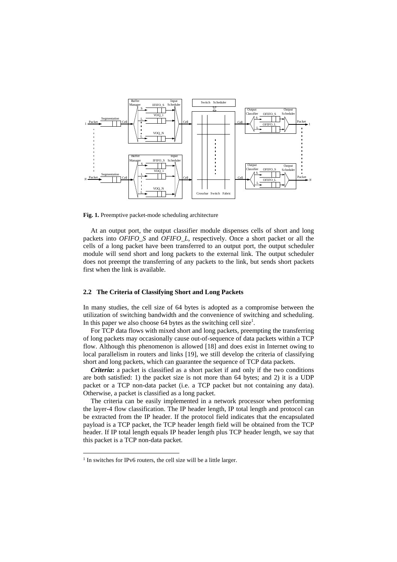

**Fig. 1.** Preemptive packet-mode scheduling architecture

At an output port, the output classifier module dispenses cells of short and long packets into *OFIFO\_S* and *OFIFO\_L*, respectively. Once a short packet or all the cells of a long packet have been transferred to an output port, the output scheduler module will send short and long packets to the external link. The output scheduler does not preempt the transferring of any packets to the link, but sends short packets first when the link is available.

#### **2.2 The Criteria of Classifying Short and Long Packets**

In many studies, the cell size of 64 bytes is adopted as a compromise between the utilization of switching bandwidth and the convenience of switching and scheduling. In this paper we also choose 64 bytes as the switching cell size<sup>1</sup>.

For TCP data flows with mixed short and long packets, preempting the transferring of long packets may occasionally cause out-of-sequence of data packets within a TCP flow. Although this phenomenon is allowed [18] and does exist in Internet owing to local parallelism in routers and links [19], we still develop the criteria of classifying short and long packets, which can guarantee the sequence of TCP data packets.

*Criteria***:** a packet is classified as a short packet if and only if the two conditions are both satisfied: 1) the packet size is not more than 64 bytes; and 2) it is a UDP packet or a TCP non-data packet (i.e. a TCP packet but not containing any data). Otherwise, a packet is classified as a long packet.

The criteria can be easily implemented in a network processor when performing the layer-4 flow classification. The IP header length, IP total length and protocol can be extracted from the IP header. If the protocol field indicates that the encapsulated payload is a TCP packet, the TCP header length field will be obtained from the TCP header. If IP total length equals IP header length plus TCP header length, we say that this packet is a TCP non-data packet.

l

<sup>&</sup>lt;sup>1</sup> In switches for IPv6 routers, the cell size will be a little larger.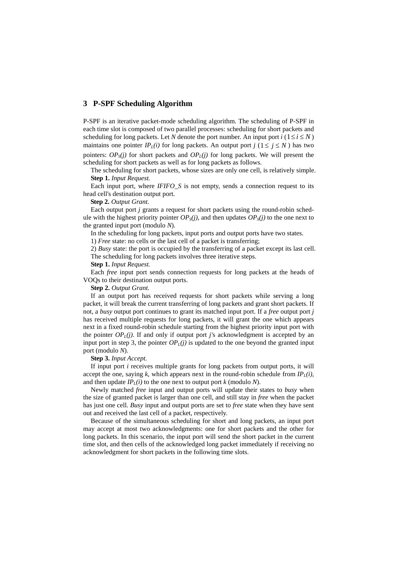# **3 P-SPF Scheduling Algorithm**

P-SPF is an iterative packet-mode scheduling algorithm. The scheduling of P-SPF in each time slot is composed of two parallel processes: scheduling for short packets and scheduling for long packets. Let *N* denote the port number. An input port  $i$  ( $1 \le i \le N$ ) maintains one pointer *IP<sub>L</sub>(i)* for long packets. An output port *j* ( $1 \le j \le N$ ) has two pointers:  $OP_S(j)$  for short packets and  $OP_L(j)$  for long packets. We will present the scheduling for short packets as well as for long packets as follows.

The scheduling for short packets, whose sizes are only one cell, is relatively simple. **Step 1.** *Input Request.*

Each input port, where *IFIFO\_S* is not empty, sends a connection request to its head cell's destination output port.

**Step 2.** *Output Grant.*

Each output port *j* grants a request for short packets using the round-robin schedule with the highest priority pointer  $OP_s(i)$ , and then updates  $OP_s(i)$  to the one next to the granted input port (modulo *N*).

In the scheduling for long packets, input ports and output ports have two states.

1) *Free* state: no cells or the last cell of a packet is transferring;

2) *Busy* state: the port is occupied by the transferring of a packet except its last cell. The scheduling for long packets involves three iterative steps.

**Step 1.** *Input Request.*

Each *free* input port sends connection requests for long packets at the heads of VOQs to their destination output ports.

**Step 2.** *Output Grant.*

If an output port has received requests for short packets while serving a long packet, it will break the current transferring of long packets and grant short packets. If not, a *busy* output port continues to grant its matched input port. If a *free* output port *j* has received multiple requests for long packets, it will grant the one which appears next in a fixed round-robin schedule starting from the highest priority input port with the pointer  $OP<sub>L</sub>(i)$ . If and only if output port *j's* acknowledgment is accepted by an input port in step 3, the pointer  $OP<sub>1</sub>(i)$  is updated to the one beyond the granted input port (modulo *N*).

**Step 3.** *Input Accept.*

If input port *i* receives multiple grants for long packets from output ports, it will accept the one, saying  $k$ , which appears next in the round-robin schedule from  $IP_l(i)$ , and then update  $IP<sub>L</sub>(i)$  to the one next to output port *k* (modulo *N*).

Newly matched *free* input and output ports will update their states to *busy* when the size of granted packet is larger than one cell, and still stay in *free* when the packet has just one cell. *Busy* input and output ports are set to *free* state when they have sent out and received the last cell of a packet, respectively.

Because of the simultaneous scheduling for short and long packets, an input port may accept at most two acknowledgments: one for short packets and the other for long packets. In this scenario, the input port will send the short packet in the current time slot, and then cells of the acknowledged long packet immediately if receiving no acknowledgment for short packets in the following time slots.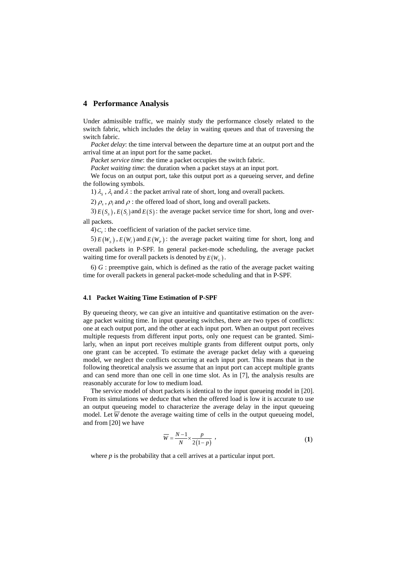# **4 Performance Analysis**

Under admissible traffic, we mainly study the performance closely related to the switch fabric, which includes the delay in waiting queues and that of traversing the switch fabric.

*Packet delay*: the time interval between the departure time at an output port and the arrival time at an input port for the same packet.

*Packet service time*: the time a packet occupies the switch fabric.

*Packet waiting time*: the duration when a packet stays at an input port.

We focus on an output port, take this output port as a queueing server, and define the following symbols.

1)  $\lambda_{\rm s}$ ,  $\lambda_{\rm l}$  and  $\lambda$  : the packet arrival rate of short, long and overall packets.

2)  $\rho_s$ ,  $\rho_i$  and  $\rho$  : the offered load of short, long and overall packets.

3)  $E(S_s)$ ,  $E(S_t)$  and  $E(S)$ : the average packet service time for short, long and overall packets.

4) $C_v$ : the coefficient of variation of the packet service time.

5)  $E(W_s)$ ,  $E(W_t)$  and  $E(W_n)$ : the average packet waiting time for short, long and overall packets in P-SPF. In general packet-mode scheduling, the average packet waiting time for overall packets is denoted by  $E(W_G)$ .

6) *G* : preemptive gain, which is defined as the ratio of the average packet waiting time for overall packets in general packet-mode scheduling and that in P-SPF.

# **4.1 Packet Waiting Time Estimation of P-SPF**

By queueing theory, we can give an intuitive and quantitative estimation on the average packet waiting time. In input queueing switches, there are two types of conflicts: one at each output port, and the other at each input port. When an output port receives multiple requests from different input ports, only one request can be granted. Similarly, when an input port receives multiple grants from different output ports, only one grant can be accepted. To estimate the average packet delay with a queueing model, we neglect the conflicts occurring at each input port. This means that in the following theoretical analysis we assume that an input port can accept multiple grants and can send more than one cell in one time slot. As in [7], the analysis results are reasonably accurate for low to medium load.

The service model of short packets is identical to the input queueing model in [20]. From its simulations we deduce that when the offered load is low it is accurate to use an output queueing model to characterize the average delay in the input queueing model. Let  $\overline{W}$  denote the average waiting time of cells in the output queueing model, and from [20] we have

$$
\overline{W} = \frac{N-1}{N} \times \frac{p}{2(1-p)},
$$
\n(1)

where *p* is the probability that a cell arrives at a particular input port.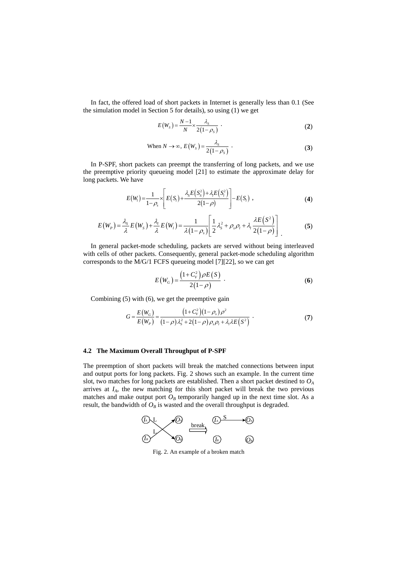In fact, the offered load of short packets in Internet is generally less than 0.1 (See the simulation model in Section 5 for details), so using (1) we get

$$
E(W_s) = \frac{N-1}{N} \times \frac{\lambda_s}{2(1-\rho_s)} \tag{2}
$$

When 
$$
N \to \infty
$$
,  $E(W_s) = \frac{\lambda_s}{2(1-\rho_s)}$ . (3)

In P-SPF, short packets can preempt the transferring of long packets, and we use the preemptive priority queueing model [21] to estimate the approximate delay for long packets. We have

$$
E(W_i) = \frac{1}{1-\rho_s} \times \left[ E(S_i) + \frac{\lambda_s E(S_s^2) + \lambda_t E(S_i^2)}{2(1-\rho)} \right] - E(S_i) \tag{4}
$$

$$
E(W_P) = \frac{\lambda_s}{\lambda} E(W_s) + \frac{\lambda_t}{\lambda} E(W_l) = \frac{1}{\lambda (1 - \rho_s)} \left[ \frac{1}{2} \lambda_s^2 + \rho_s \rho_l + \lambda_l \frac{\lambda E(S^2)}{2(1 - \rho)} \right] \tag{5}
$$

In general packet-mode scheduling, packets are served without being interleaved with cells of other packets. Consequently, general packet-mode scheduling algorithm corresponds to the M/G/1 FCFS queueing model [7][22], so we can get

$$
E(W_G) = \frac{(1 + C_v^2)\rho E(S)}{2(1 - \rho)}.
$$
 (6)

Combining (5) with (6), we get the preemptive gain

$$
G = \frac{E(W_G)}{E(W_P)} = \frac{(1+C_v^2)(1-\rho_s)\rho^2}{(1-\rho)\lambda_s^2 + 2(1-\rho)\rho_s\rho_t + \lambda_t\lambda E(S^2)}.
$$
 (7)

#### **4.2 The Maximum Overall Throughput of P-SPF**

The preemption of short packets will break the matched connections between input and output ports for long packets. Fig. 2 shows such an example. In the current time slot, two matches for long packets are established. Then a short packet destined to  $O<sub>A</sub>$ arrives at  $I_A$ , the new matching for this short packet will break the two previous matches and make output port  $O_B$  temporarily hanged up in the next time slot. As a result, the bandwidth of  $O_B$  is wasted and the overall throughput is degraded.



Fig. 2. An example of a broken match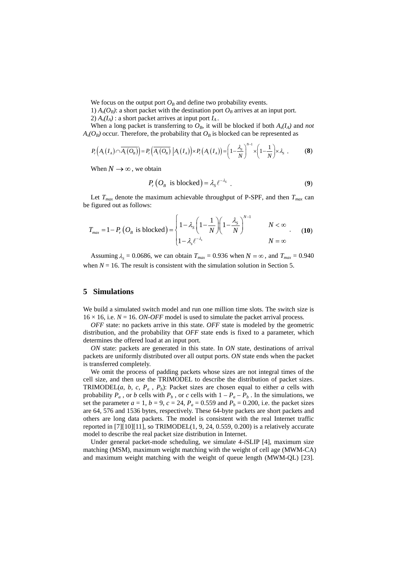We focus on the output port  $O_B$  and define two probability events.

1)  $A_s(O_B)$ : a short packet with the destination port  $O_B$  arrives at an input port. 2)  $A_s(I_A)$ : a short packet arrives at input port  $I_A$ .

When a long packet is transferring to  $O_B$ , it will be blocked if both  $A_s(I_A)$  and *not*  $A_s(O_B)$  occur. Therefore, the probability that  $O_B$  is blocked can be represented as

$$
P_r\left(A_s\left(I_A\right)\cap\overline{A_s\left(O_B\right)}\right)=P_r\left(\overline{A_s\left(O_B\right)}\,\big|A_s\left(I_A\right)\right)\times P_r\left(A_s\left(I_A\right)\right)=\left(1-\frac{\lambda_s}{N}\right)^{N-1}\times\left(1-\frac{1}{N}\right)\times\lambda_s\tag{8}
$$

When  $N \rightarrow \infty$ , we obtain

$$
P_{r} (O_{B} \text{ is blocked}) = \lambda_{s} \ell^{-\lambda_{s}} . \tag{9}
$$

Let  $T_{max}$  denote the maximum achievable throughput of P-SPF, and then  $T_{max}$  can be figured out as follows:

$$
T_{\text{max}} = 1 - P_r \left( O_B \text{ is blocked} \right) = \begin{cases} 1 - \lambda_s \left( 1 - \frac{1}{N} \right) \left( 1 - \frac{\lambda_s}{N} \right)^{N-1} & N < \infty \\ 1 - \lambda_s \ell^{-\lambda_s} & N = \infty \end{cases} \tag{10}
$$

Assuming  $\lambda_s = 0.0686$ , we can obtain  $T_{max} = 0.936$  when  $N = \infty$ , and  $T_{max} = 0.940$ when  $N = 16$ . The result is consistent with the simulation solution in Section 5.

# **5 Simulations**

We build a simulated switch model and run one million time slots. The switch size is  $16 \times 16$ , i.e.  $N = 16$ . *ON-OFF* model is used to simulate the packet arrival process.

*OFF* state: no packets arrive in this state. *OFF* state is modeled by the geometric distribution, and the probability that *OFF* state ends is fixed to a parameter, which determines the offered load at an input port.

*ON* state: packets are generated in this state. In *ON* state, destinations of arrival packets are uniformly distributed over all output ports. *ON* state ends when the packet is transferred completely.

We omit the process of padding packets whose sizes are not integral times of the cell size, and then use the TRIMODEL to describe the distribution of packet sizes. TRIMODEL(*a*, *b*, *c*,  $P_a$ ,  $P_b$ ): Packet sizes are chosen equal to either *a* cells with probability  $P_a$ , or *b* cells with  $P_b$ , or *c* cells with  $1 - P_a - P_b$ . In the simulations, we set the parameter  $a = 1$ ,  $b = 9$ ,  $c = 24$ ,  $P_a = 0.559$  and  $P_b = 0.200$ , i.e. the packet sizes are 64, 576 and 1536 bytes, respectively. These 64-byte packets are short packets and others are long data packets. The model is consistent with the real Internet traffic reported in  $[7][10][11]$ , so TRIMODEL $(1, 9, 24, 0.559, 0.200)$  is a relatively accurate model to describe the real packet size distribution in Internet.

Under general packet-mode scheduling, we simulate 4-*i*SLIP [4], maximum size matching (MSM), maximum weight matching with the weight of cell age (MWM-CA) and maximum weight matching with the weight of queue length (MWM-QL) [23].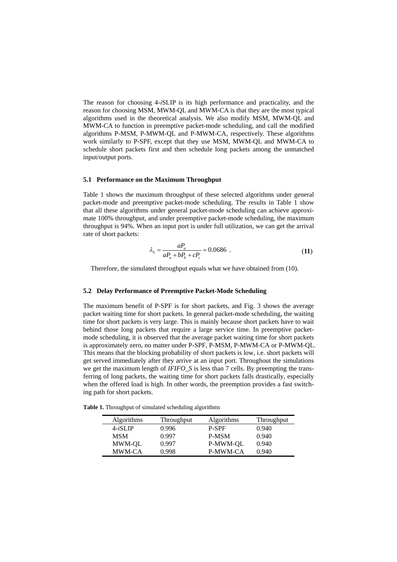The reason for choosing 4-*i*SLIP is its high performance and practicality, and the reason for choosing MSM, MWM-QL and MWM-CA is that they are the most typical algorithms used in the theoretical analysis. We also modify MSM, MWM-QL and MWM-CA to function in preemptive packet-mode scheduling, and call the modified algorithms P-MSM, P-MWM-QL and P-MWM-CA, respectively. These algorithms work similarly to P-SPF, except that they use MSM, MWM-QL and MWM-CA to schedule short packets first and then schedule long packets among the unmatched input/output ports.

# **5.1 Performance on the Maximum Throughput**

Table 1 shows the maximum throughput of these selected algorithms under general packet-mode and preemptive packet-mode scheduling. The results in Table 1 show that all these algorithms under general packet-mode scheduling can achieve approximate 100% throughput, and under preemptive packet-mode scheduling, the maximum throughput is 94%. When an input port is under full utilization, we can get the arrival rate of short packets:

$$
\lambda_{s} = \frac{aP_{a}}{aP_{a} + bP_{b} + cP_{c}} = 0.0686
$$
 (11)

Therefore, the simulated throughput equals what we have obtained from (10).

## **5.2 Delay Performance of Preemptive Packet-Mode Scheduling**

The maximum benefit of P-SPF is for short packets, and Fig. 3 shows the average packet waiting time for short packets. In general packet-mode scheduling, the waiting time for short packets is very large. This is mainly because short packets have to wait behind those long packets that require a large service time. In preemptive packetmode scheduling, it is observed that the average packet waiting time for short packets is approximately zero, no matter under P-SPF, P-MSM, P-MWM-CA or P-MWM-QL. This means that the blocking probability of short packets is low, i.e. short packets will get served immediately after they arrive at an input port. Throughout the simulations we get the maximum length of *IFIFO\_S* is less than 7 cells. By preempting the transferring of long packets, the waiting time for short packets falls drastically, especially when the offered load is high. In other words, the preemption provides a fast switching path for short packets.

**Table 1.** Throughput of simulated scheduling algorithms

| Algorithms | <b>Throughput</b> | <b>Algorithms</b> | Throughput |
|------------|-------------------|-------------------|------------|
| $4-iSLIP$  | 0.996             | <b>P-SPF</b>      | 0.940      |
| MSM        | 0.997             | <b>P-MSM</b>      | 0.940      |
| MWM-OL     | 0.997             | P-MWM-OL          | 0.940      |
| MWM-CA     | 0.998             | <b>P-MWM-CA</b>   | 0.940      |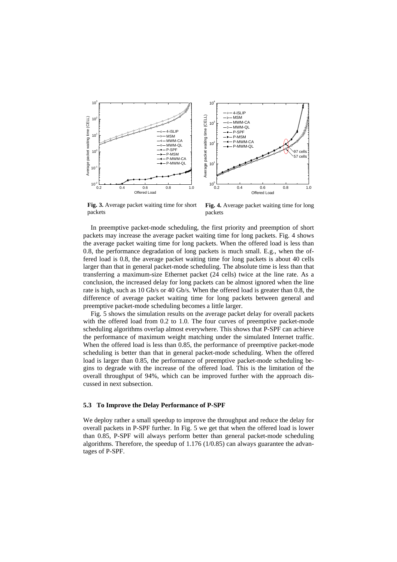



**Fig. 3.** Average packet waiting time for short packets

**Fig. 4.** Average packet waiting time for long packets

In preemptive packet-mode scheduling, the first priority and preemption of short packets may increase the average packet waiting time for long packets. Fig. 4 shows the average packet waiting time for long packets. When the offered load is less than 0.8, the performance degradation of long packets is much small. E.g., when the offered load is 0.8, the average packet waiting time for long packets is about 40 cells larger than that in general packet-mode scheduling. The absolute time is less than that transferring a maximum-size Ethernet packet (24 cells) twice at the line rate. As a conclusion, the increased delay for long packets can be almost ignored when the line rate is high, such as 10 Gb/s or 40 Gb/s. When the offered load is greater than 0.8, the difference of average packet waiting time for long packets between general and preemptive packet-mode scheduling becomes a little larger.

Fig. 5 shows the simulation results on the average packet delay for overall packets with the offered load from 0.2 to 1.0. The four curves of preemptive packet-mode scheduling algorithms overlap almost everywhere. This shows that P-SPF can achieve the performance of maximum weight matching under the simulated Internet traffic. When the offered load is less than 0.85, the performance of preemptive packet-mode scheduling is better than that in general packet-mode scheduling. When the offered load is larger than 0.85, the performance of preemptive packet-mode scheduling begins to degrade with the increase of the offered load. This is the limitation of the overall throughput of 94%, which can be improved further with the approach discussed in next subsection.

## **5.3 To Improve the Delay Performance of P-SPF**

We deploy rather a small speedup to improve the throughput and reduce the delay for overall packets in P-SPF further. In Fig. 5 we get that when the offered load is lower than 0.85, P-SPF will always perform better than general packet-mode scheduling algorithms. Therefore, the speedup of 1.176 (1/0.85) can always guarantee the advantages of P-SPF.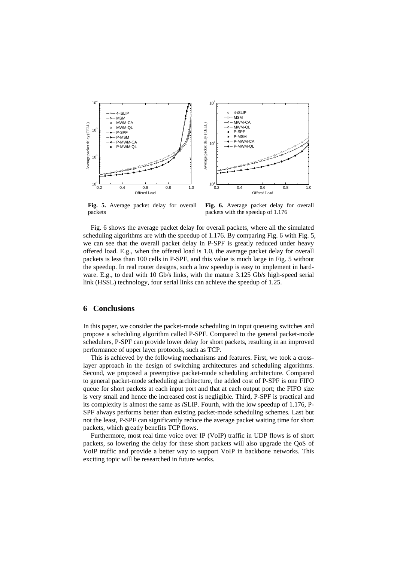

**Fig. 5.** Average packet delay for overall packets

**Fig. 6.** Average packet delay for overall packets with the speedup of 1.176

Fig. 6 shows the average packet delay for overall packets, where all the simulated scheduling algorithms are with the speedup of 1.176. By comparing Fig. 6 with Fig. 5, we can see that the overall packet delay in P-SPF is greatly reduced under heavy offered load. E.g., when the offered load is 1.0, the average packet delay for overall packets is less than 100 cells in P-SPF, and this value is much large in Fig. 5 without the speedup. In real router designs, such a low speedup is easy to implement in hardware. E.g., to deal with 10 Gb/s links, with the mature 3.125 Gb/s high-speed serial link (HSSL) technology, four serial links can achieve the speedup of 1.25.

## **6 Conclusions**

In this paper, we consider the packet-mode scheduling in input queueing switches and propose a scheduling algorithm called P-SPF. Compared to the general packet-mode schedulers, P-SPF can provide lower delay for short packets, resulting in an improved performance of upper layer protocols, such as TCP.

This is achieved by the following mechanisms and features. First, we took a crosslayer approach in the design of switching architectures and scheduling algorithms. Second, we proposed a preemptive packet-mode scheduling architecture. Compared to general packet-mode scheduling architecture, the added cost of P-SPF is one FIFO queue for short packets at each input port and that at each output port; the FIFO size is very small and hence the increased cost is negligible. Third, P-SPF is practical and its complexity is almost the same as *i*SLIP. Fourth, with the low speedup of 1.176, P-SPF always performs better than existing packet-mode scheduling schemes. Last but not the least, P-SPF can significantly reduce the average packet waiting time for short packets, which greatly benefits TCP flows.

Furthermore, most real time voice over IP (VoIP) traffic in UDP flows is of short packets, so lowering the delay for these short packets will also upgrade the QoS of VoIP traffic and provide a better way to support VoIP in backbone networks. This exciting topic will be researched in future works.